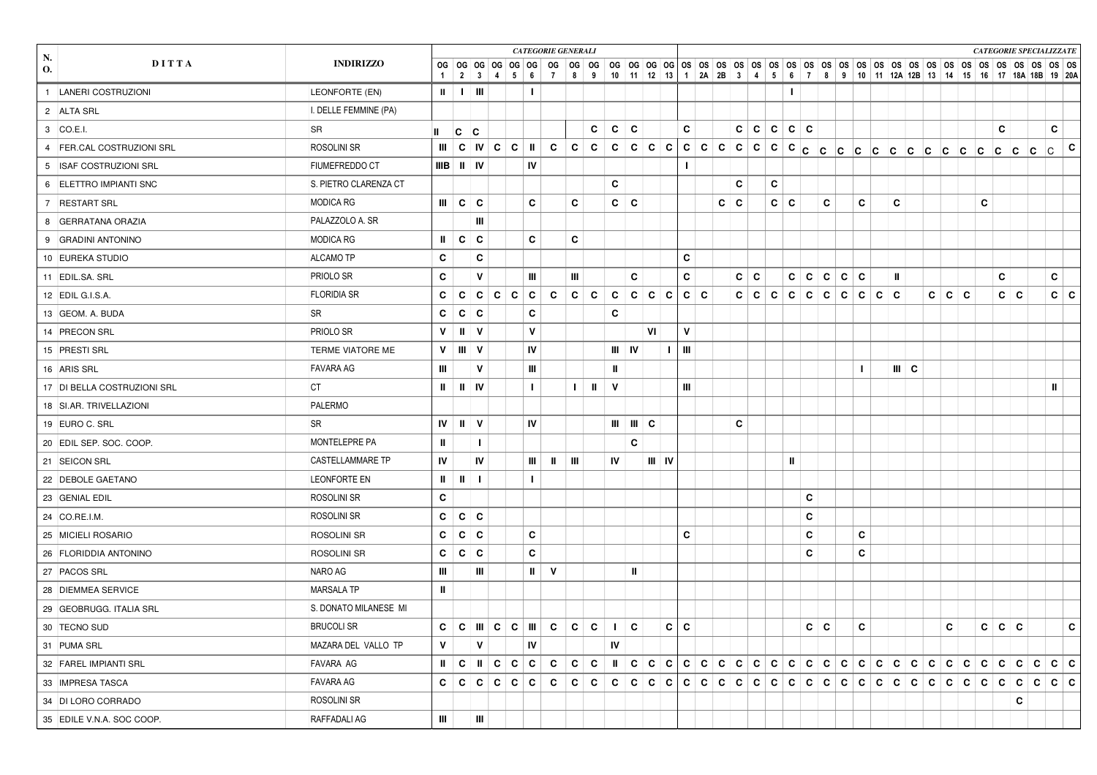|                             |                         |              |                                       |                                        |           |              | <b>CATEGORIE GENERALI</b>         |                 |              |    |            |           |     |              |   |   |       |   |            |                |              |          |     |                   |         |       |                                                                 |   |            |     | <b>CATEGORIE SPECIALIZZATE</b> |            |              |
|-----------------------------|-------------------------|--------------|---------------------------------------|----------------------------------------|-----------|--------------|-----------------------------------|-----------------|--------------|----|------------|-----------|-----|--------------|---|---|-------|---|------------|----------------|--------------|----------|-----|-------------------|---------|-------|-----------------------------------------------------------------|---|------------|-----|--------------------------------|------------|--------------|
| N.<br>DITTA<br>O.           | <b>INDIRIZZO</b>        |              |                                       | $2 \mid 3 \mid 4 \mid 5 \mid 6 \mid 7$ |           |              |                                   |                 | 89           |    |            |           |     |              |   |   |       |   |            |                |              |          |     |                   |         |       | 10 11 12 13 1 2A 2B 3 4 5 6 7 8 9 10 11 12A 12B 13 14 15 16 20A |   |            |     |                                |            |              |
| 1  LANERI COSTRUZIONI       | LEONFORTE (EN)          | $\mathbf{u}$ |                                       | $\pm$ 1 $\pm$ 10 $\pm$                 |           | $\mathbf{I}$ |                                   |                 |              |    |            |           |     |              |   |   |       |   |            | $\blacksquare$ |              |          |     |                   |         |       |                                                                 |   |            |     |                                |            |              |
| 2 ALTA SRL                  | . DELLE FEMMINE (PA)    |              |                                       |                                        |           |              |                                   |                 |              |    |            |           |     |              |   |   |       |   |            |                |              |          |     |                   |         |       |                                                                 |   |            |     |                                |            |              |
| 3 CO.E.I.                   | SR                      |              | $ {\bf c} $                           | $ {\bf c} $                            |           |              |                                   |                 | C            | C  | C          |           |     | C            |   |   | C     | C | C          | C              | $\mathbf{c}$ |          |     |                   |         |       |                                                                 |   | C          |     |                                | C          |              |
| 4 FER.CAL COSTRUZIONI SRL   | ROSOLINI SR             |              |                                       |                                        |           |              | C                                 | c               | $\mathbf{C}$ |    |            | c   c   c |     |              |   |   |       |   |            |                |              |          |     |                   |         |       |                                                                 |   |            | c c |                                | lc -       | C            |
| 5 ISAF COSTRUZIONI SRL      | FIUMEFREDDO CT          |              | $IIIB \parallel II \parallel IV$      |                                        |           | IV           |                                   |                 |              |    |            |           |     |              |   |   |       |   |            |                |              |          |     |                   |         |       |                                                                 |   |            |     |                                |            |              |
| 6 ELETTRO IMPIANTI SNC      | S. PIETRO CLARENZA CT   |              |                                       |                                        |           |              |                                   |                 |              | C  |            |           |     |              |   |   | C     |   | C          |                |              |          |     |                   |         |       |                                                                 |   |            |     |                                |            |              |
| 7 RESTART SRL               | <b>MODICA RG</b>        |              | $\parallel \parallel$ C $\parallel$ C |                                        |           | C            |                                   | C               |              |    | $c \mid c$ |           |     |              |   | C | C     |   | $c \mid c$ |                |              | C        |     | C                 | C       |       |                                                                 | C |            |     |                                |            |              |
| 8 GERRATANA ORAZIA          | PALAZZOLO A. SR         |              |                                       | Ш                                      |           |              |                                   |                 |              |    |            |           |     |              |   |   |       |   |            |                |              |          |     |                   |         |       |                                                                 |   |            |     |                                |            |              |
| 9 GRADINI ANTONINO          | <b>MODICA RG</b>        | $\mathbf{I}$ | $c \mid c$                            |                                        |           | C            |                                   | C               |              |    |            |           |     |              |   |   |       |   |            |                |              |          |     |                   |         |       |                                                                 |   |            |     |                                |            |              |
| 10 EUREKA STUDIO            | <b>ALCAMO TP</b>        | C            |                                       | C                                      |           |              |                                   |                 |              |    |            |           |     | C            |   |   |       |   |            |                |              |          |     |                   |         |       |                                                                 |   |            |     |                                |            |              |
| 11 EDIL.SA. SRL             | PRIOLO SR               | C            |                                       | $\mathsf{v}$                           |           | Ш            |                                   | Ш               |              |    | C          |           |     | C            |   |   | C.    | C |            | C              | c            | C        | c c |                   | ш       |       |                                                                 |   | C          |     |                                | C          |              |
| 12 EDIL G.I.S.A.            | <b>FLORIDIA SR</b>      | C            | C                                     | $\mathbf{C}$                           | c   c   c |              | C                                 | $\mathbf{c}$    | $\mathbf{C}$ | C  |            | c c       | C   | $\mathbf{c}$ | C |   | c c c |   |            |                |              |          |     | c c c c c c c c c |         | c c c |                                                                 |   | $c \mid c$ |     |                                | $c \mid c$ |              |
| 13 GEOM. A. BUDA            | <b>SR</b>               | С            | c c                                   |                                        |           | C            |                                   |                 |              | C  |            |           |     |              |   |   |       |   |            |                |              |          |     |                   |         |       |                                                                 |   |            |     |                                |            |              |
| 14 PRECON SRL               | PRIOLO SR               | V            | $\mathbf{H}$                          | <b>V</b>                               |           | $\mathbf v$  |                                   |                 |              |    |            | VI        |     | v            |   |   |       |   |            |                |              |          |     |                   |         |       |                                                                 |   |            |     |                                |            |              |
| 15 PRESTI SRL               | TERME VIATORE ME        | V            | $   $ V                               |                                        |           | IV           |                                   |                 |              |    | $III$ IV   |           |     | $\mathbf{m}$ |   |   |       |   |            |                |              |          |     |                   |         |       |                                                                 |   |            |     |                                |            |              |
| 16 ARIS SRL                 | <b>FAVARA AG</b>        | Ш            |                                       | $\mathbf{V}$                           |           | Ш            |                                   |                 |              | Ш  |            |           |     |              |   |   |       |   |            |                |              |          |     | $\mathbf{I}$      | $   $ C |       |                                                                 |   |            |     |                                |            |              |
| 17 DI BELLA COSTRUZIONI SRL | СT                      | Ш            | $\mathbf{u}$                          | IV                                     |           | $\mathbf{I}$ |                                   | I.              | Ш            | V  |            |           |     | Ш            |   |   |       |   |            |                |              |          |     |                   |         |       |                                                                 |   |            |     |                                | ш          |              |
| 18 SI.AR. TRIVELLAZIONI     | <b>PALERMO</b>          |              |                                       |                                        |           |              |                                   |                 |              |    |            |           |     |              |   |   |       |   |            |                |              |          |     |                   |         |       |                                                                 |   |            |     |                                |            |              |
| 19 EURO C. SRL              | <b>SR</b>               | IV           | $\mathbf{I}$                          | $\mathsf{V}$                           |           | IV           |                                   |                 |              | ШI |            | $     $ C |     |              |   |   | C     |   |            |                |              |          |     |                   |         |       |                                                                 |   |            |     |                                |            |              |
| 20 EDIL SEP. SOC. COOP.     | MONTELEPRE PA           | $\mathbf{I}$ |                                       |                                        |           |              |                                   |                 |              |    | C          |           |     |              |   |   |       |   |            |                |              |          |     |                   |         |       |                                                                 |   |            |     |                                |            |              |
| 21 SEICON SRL               | <b>CASTELLAMMARE TP</b> | IV           |                                       | IV                                     |           | Ш            | $\mathbf{u}$                      | $\parallel$ III |              | IV |            |           |     |              |   |   |       |   |            | Ш              |              |          |     |                   |         |       |                                                                 |   |            |     |                                |            |              |
| 22 DEBOLE GAETANO           | <b>LEONFORTE EN</b>     | Ш            | $\mathbf{I}$                          | -1                                     |           | $\mathbf{I}$ |                                   |                 |              |    |            |           |     |              |   |   |       |   |            |                |              |          |     |                   |         |       |                                                                 |   |            |     |                                |            |              |
| 23 GENIAL EDIL              | ROSOLINI SR             | C            |                                       |                                        |           |              |                                   |                 |              |    |            |           |     |              |   |   |       |   |            |                | C            |          |     |                   |         |       |                                                                 |   |            |     |                                |            |              |
| 24 CO.RE.I.M.               | ROSOLINI SR             |              | c   c   c                             |                                        |           |              |                                   |                 |              |    |            |           |     |              |   |   |       |   |            |                | C            |          |     |                   |         |       |                                                                 |   |            |     |                                |            |              |
| 25 MICIELI ROSARIO          | ROSOLINI SR             | C            | c c                                   |                                        |           | C            |                                   |                 |              |    |            |           |     | C            |   |   |       |   |            |                | C            |          |     | C                 |         |       |                                                                 |   |            |     |                                |            |              |
| 26 FLORIDDIA ANTONINO       | ROSOLINI SR             | C            | C C                                   |                                        |           | C            |                                   |                 |              |    |            |           |     |              |   |   |       |   |            |                | C            |          |     | С                 |         |       |                                                                 |   |            |     |                                |            |              |
| 27 PACOS SRL                | NARO AG                 | Ш            |                                       | Ш                                      |           | $\mathbf{I}$ | V                                 |                 |              |    | Ш          |           |     |              |   |   |       |   |            |                |              |          |     |                   |         |       |                                                                 |   |            |     |                                |            |              |
| 28 DIEMMEA SERVICE          | <b>MARSALA TP</b>       | Ш            |                                       |                                        |           |              |                                   |                 |              |    |            |           |     |              |   |   |       |   |            |                |              |          |     |                   |         |       |                                                                 |   |            |     |                                |            |              |
| 29 GEOBRUGG. ITALIA SRL     | S. DONATO MILANESE MI   |              |                                       |                                        |           |              |                                   |                 |              |    |            |           |     |              |   |   |       |   |            |                |              |          |     |                   |         |       |                                                                 |   |            |     |                                |            |              |
| 30 TECNO SUD                | <b>BRUCOLI SR</b>       |              |                                       |                                        |           |              |                                   |                 |              |    |            |           | c c |              |   |   |       |   |            |                |              | c  c   c |     |                   |         |       | $ c $ $ c c c$                                                  |   |            |     |                                |            | $\mathbf{c}$ |
| 31 PUMA SRL                 | MAZARA DEL VALLO TP     | V            |                                       | $\mathsf{V}$                           |           | IV           |                                   |                 |              | IV |            |           |     |              |   |   |       |   |            |                |              |          |     |                   |         |       |                                                                 |   |            |     |                                |            |              |
| 32 FAREL IMPIANTI SRL       | FAVARA AG               |              |                                       |                                        |           |              |                                   |                 |              |    |            |           |     |              |   |   |       |   |            |                |              |          |     |                   |         |       |                                                                 |   |            |     |                                |            |              |
| 33 IMPRESA TASCA            | FAVARA AG               |              |                                       |                                        |           |              | c   c   c   c   c   c   c   c   c |                 |              |    |            |           |     |              |   |   |       |   |            |                |              |          |     |                   |         |       |                                                                 |   |            |     |                                |            |              |
| 34 DI LORO CORRADO          | ROSOLINI SR             |              |                                       |                                        |           |              |                                   |                 |              |    |            |           |     |              |   |   |       |   |            |                |              |          |     |                   |         |       |                                                                 |   |            | C   |                                |            |              |
| 35 EDILE V.N.A. SOC COOP.   | RAFFADALI AG            | Ш            |                                       | Шļ                                     |           |              |                                   |                 |              |    |            |           |     |              |   |   |       |   |            |                |              |          |     |                   |         |       |                                                                 |   |            |     |                                |            |              |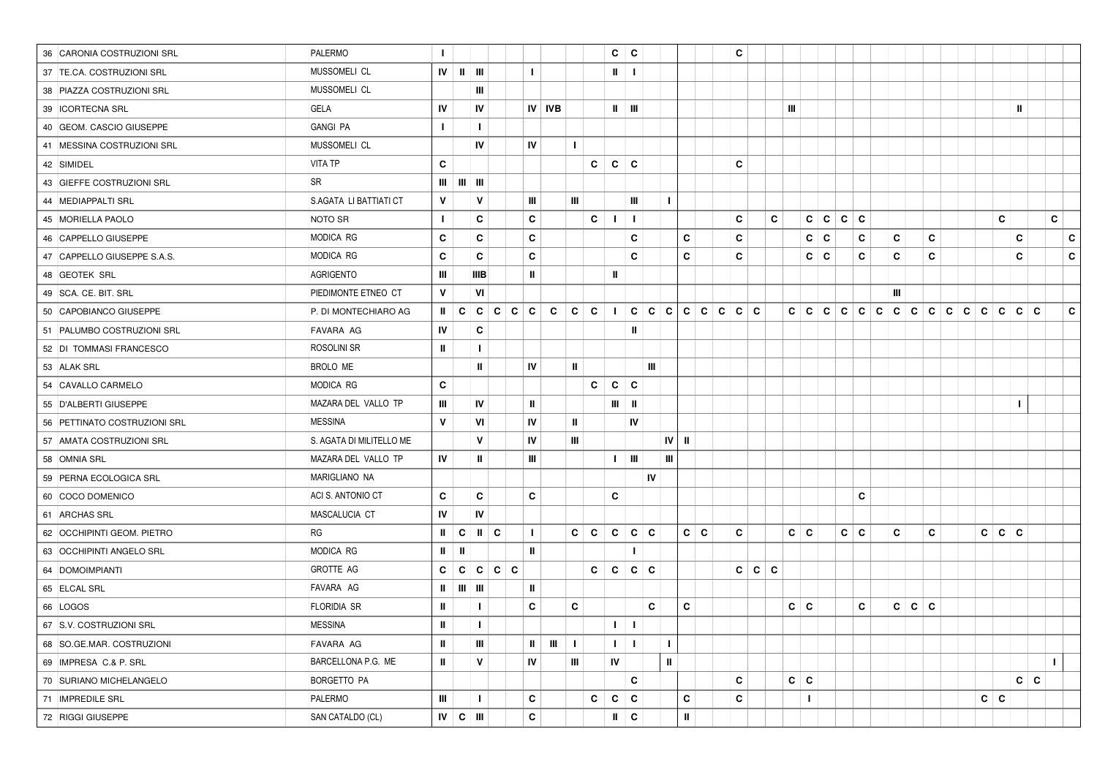| 36 CARONIA COSTRUZIONI SRL   | PALERMO                  | $\mathbf{I}$  |                                                             |                           |         |               |                           |                |             | C            | c                                   |    |              |             | C            |     |            |   |         |            |   |   |   |  |              |           |              |   |              |   |
|------------------------------|--------------------------|---------------|-------------------------------------------------------------|---------------------------|---------|---------------|---------------------------|----------------|-------------|--------------|-------------------------------------|----|--------------|-------------|--------------|-----|------------|---|---------|------------|---|---|---|--|--------------|-----------|--------------|---|--------------|---|
| 37 TE.CA. COSTRUZIONI SRL    | MUSSOMELI CL             |               | $\mathbf{I} \mathbf{V}$ $\mathbf{II}$ $\mathbf{III}$        |                           |         | $\mathbf{I}$  |                           |                |             | Ш            | Τ.                                  |    |              |             |              |     |            |   |         |            |   |   |   |  |              |           |              |   |              |   |
| 38 PIAZZA COSTRUZIONI SRL    | MUSSOMELI CL             |               |                                                             | Ш                         |         |               |                           |                |             |              |                                     |    |              |             |              |     |            |   |         |            |   |   |   |  |              |           |              |   |              |   |
| 39 ICORTECNA SRL             | GELA                     | IV            |                                                             | IV                        |         | <b>IV IVB</b> |                           |                |             | Ш.           | $\blacksquare$                      |    |              |             |              |     | Ш          |   |         |            |   |   |   |  |              |           | Ш.           |   |              |   |
| 40 GEOM. CASCIO GIUSEPPE     | <b>GANGI PA</b>          | $\mathbf{I}$  |                                                             | $\mathbf{I}$              |         |               |                           |                |             |              |                                     |    |              |             |              |     |            |   |         |            |   |   |   |  |              |           |              |   |              |   |
| 41 MESSINA COSTRUZIONI SRL   | MUSSOMELI CL             |               |                                                             | IV                        |         | IV            |                           | $\mathbf{I}$   |             |              |                                     |    |              |             |              |     |            |   |         |            |   |   |   |  |              |           |              |   |              |   |
| 42 SIMIDEL                   | <b>VITA TP</b>           | C             |                                                             |                           |         |               |                           |                | C           |              | $C \mid C$                          |    |              |             | C            |     |            |   |         |            |   |   |   |  |              |           |              |   |              |   |
| 43 GIEFFE COSTRUZIONI SRL    | SR                       |               | $\mathbf{m}$ $\mathbf{m}$ $\mathbf{m}$                      |                           |         |               |                           |                |             |              |                                     |    |              |             |              |     |            |   |         |            |   |   |   |  |              |           |              |   |              |   |
| 44 MEDIAPPALTI SRL           | S.AGATA LI BATTIATI CT   | $\mathsf{v}$  |                                                             | V                         |         | Ш             |                           | Ш              |             |              | Ш                                   |    | $\mathbf{I}$ |             |              |     |            |   |         |            |   |   |   |  |              |           |              |   |              |   |
| 45   MORIELLA PAOLO          | NOTO SR                  | $\mathbf{L}$  |                                                             | C                         |         | C             |                           |                | C           | J.           | $\mathbf{I}$                        |    |              |             | C            | C   |            |   | C C C C |            |   |   |   |  |              | C         |              |   | C            |   |
| 46 CAPPELLO GIUSEPPE         | MODICA RG                | C             |                                                             | C                         |         | C             |                           |                |             |              | С                                   |    |              | C           | C            |     |            | C | C       | С          | c |   | C |  |              |           | C            |   |              | C |
| 47 CAPPELLO GIUSEPPE S.A.S.  | MODICA RG                | C             |                                                             | C                         |         | C             |                           |                |             |              | C                                   |    |              | C           | C            |     |            | C | C       | С          | C |   | C |  |              |           | C            |   |              | C |
| 48 GEOTEK SRL                | AGRIGENTO                | Ш             |                                                             | IIIB                      |         | Ш             |                           |                |             | Ш            |                                     |    |              |             |              |     |            |   |         |            |   |   |   |  |              |           |              |   |              |   |
| 49 SCA. CE. BIT. SRL         | PIEDIMONTE ETNEO CT      | V             |                                                             | VI                        |         |               |                           |                |             |              |                                     |    |              |             |              |     |            |   |         |            | Ш |   |   |  |              |           |              |   |              |   |
| 50 CAPOBIANCO GIUSEPPE       | P. DI MONTECHIARO AG     | $\mathbf{H}$  | $\mathbf c$                                                 |                           | c c c c |               | $\mathbf{C}$              | $\mathbf{c}$   | $\mathbf c$ | $\mathbf{I}$ | $C   C   C   C   C   C   C   C   C$ |    |              |             |              |     |            |   |         |            |   |   |   |  |              | C   C     |              | C |              | C |
| 51 PALUMBO COSTRUZIONI SRL   | FAVARA AG                | IV            |                                                             | C                         |         |               |                           |                |             |              | Ш                                   |    |              |             |              |     |            |   |         |            |   |   |   |  |              |           |              |   |              |   |
| 52 DI TOMMASI FRANCESCO      | ROSOLINI SR              | ш             |                                                             | $\mathbf{I}$              |         |               |                           |                |             |              |                                     |    |              |             |              |     |            |   |         |            |   |   |   |  |              |           |              |   |              |   |
| 53 ALAK SRL                  | BROLO ME                 |               |                                                             | Ш                         |         | IV            |                           | Ш              |             |              |                                     | Ш  |              |             |              |     |            |   |         |            |   |   |   |  |              |           |              |   |              |   |
| 54 CAVALLO CARMELO           | <b>MODICA RG</b>         | C             |                                                             |                           |         |               |                           |                | C           | $\mathbf c$  | C                                   |    |              |             |              |     |            |   |         |            |   |   |   |  |              |           |              |   |              |   |
| 55 D'ALBERTI GIUSEPPE        | MAZARA DEL VALLO TP      | Ш             |                                                             | IV                        |         | Ш             |                           |                |             | Ш            | Ш                                   |    |              |             |              |     |            |   |         |            |   |   |   |  |              |           | $\mathbf{I}$ |   |              |   |
| 56 PETTINATO COSTRUZIONI SRL | <b>MESSINA</b>           | $\mathbf{v}$  |                                                             | VI                        |         | IV            |                           | $\mathbf{u}$   |             |              | IV                                  |    |              |             |              |     |            |   |         |            |   |   |   |  |              |           |              |   |              |   |
| 57   AMATA COSTRUZIONI SRL   | S. AGATA DI MILITELLO ME |               |                                                             | V                         |         | IV            |                           | Ш              |             |              |                                     |    | IV I         | Ш           |              |     |            |   |         |            |   |   |   |  |              |           |              |   |              |   |
| 58 OMNIA SRL                 | MAZARA DEL VALLO TP      | IV            |                                                             | Ш                         |         | Ш             |                           |                |             | $\mathbf{I}$ | Ш                                   |    | Ш            |             |              |     |            |   |         |            |   |   |   |  |              |           |              |   |              |   |
| 59 PERNA ECOLOGICA SRL       | MARIGLIANO NA            |               |                                                             |                           |         |               |                           |                |             |              |                                     | IV |              |             |              |     |            |   |         |            |   |   |   |  |              |           |              |   |              |   |
| 60 COCO DOMENICO             | ACI S. ANTONIO CT        | C             |                                                             | C                         |         | C             |                           |                |             | C            |                                     |    |              |             |              |     |            |   |         | C          |   |   |   |  |              |           |              |   |              |   |
| 61 ARCHAS SRL                | MASCALUCIA CT            | IV            |                                                             | IV                        |         |               |                           |                |             |              |                                     |    |              |             |              |     |            |   |         |            |   |   |   |  |              |           |              |   |              |   |
| 62 OCCHIPINTI GEOM. PIETRO   | RG                       |               | $\parallel$ $\parallel$ C                                   | $\parallel$ $\parallel$ C |         | $\mathbf{I}$  |                           | $C \mid C$     |             | C            | C C                                 |    |              | C   C       | C            |     | $c \mid c$ |   |         | $c \mid c$ | C |   | C |  |              | c   c   c |              |   |              |   |
| 63 OCCHIPINTI ANGELO SRL     | MODICA RG                | $\mathbf{II}$ | Ш                                                           |                           |         | H.            |                           |                |             |              |                                     |    |              |             |              |     |            |   |         |            |   |   |   |  |              |           |              |   |              |   |
| 64 DOMOIMPIANTI              | GROTTE AG                | C             |                                                             |                           | c c c c |               |                           |                | C           |              | c   c   c                           |    |              |             | $\mathbf{c}$ | c c |            |   |         |            |   |   |   |  |              |           |              |   |              |   |
| 65 ELCAL SRL                 | FAVARA AG                |               | $\parallel$ $\parallel$ $\parallel$ $\parallel$ $\parallel$ |                           |         | $\mathbf{I}$  |                           |                |             |              |                                     |    |              |             |              |     |            |   |         |            |   |   |   |  |              |           |              |   |              |   |
| 66 LOGOS                     | FLORIDIA SR              | Ш             |                                                             | $\mathbf{I}$              |         | C             |                           | C              |             |              |                                     | C  |              | C           |              |     | C          | C |         | C          | C | c | C |  |              |           |              |   |              |   |
| 67 S.V. COSTRUZIONI SRL      | <b>MESSINA</b>           | $\mathbf{I}$  |                                                             | $\mathbf{I}$              |         |               |                           |                |             |              | $\mathbf{I}=\mathbf{I}$ .           |    |              |             |              |     |            |   |         |            |   |   |   |  |              |           |              |   |              |   |
| 68   SO.GE.MAR. COSTRUZIONI  | FAVARA AG                | $\mathbf{I}$  |                                                             | $\mathbf{m}$              |         |               | $\mathbf{H}=\mathbf{H}$ . | $\mathbf{L}$   |             | $\mathbf{L}$ | $\mathbf{L}$                        |    | $\mathbf{I}$ |             |              |     |            |   |         |            |   |   |   |  |              |           |              |   |              |   |
| 69 IMPRESA C.& P. SRL        | BARCELLONA P.G. ME       | $\mathbf{H}$  |                                                             | V                         |         | IV            |                           | $\mathbf{III}$ |             | IV           |                                     |    | Ш            |             |              |     |            |   |         |            |   |   |   |  |              |           |              |   | $\mathbf{I}$ |   |
| 70 SURIANO MICHELANGELO      | BORGETTO PA              |               |                                                             |                           |         |               |                           |                |             |              | C                                   |    |              |             | C            |     | $c \mid c$ |   |         |            |   |   |   |  |              |           | $c \mid c$   |   |              |   |
| 71 IMPREDILE SRL             | PALERMO                  | Ш             |                                                             | $\mathbf{I}$              |         | $\mathbf{c}$  |                           |                | С           | $\mathbf{c}$ | c                                   |    |              | $\mathbf c$ | C            |     |            |   |         |            |   |   |   |  | $\mathbf{c}$ | C         |              |   |              |   |
| 72 RIGGI GIUSEPPE            | SAN CATALDO (CL)         |               | IV   C   III                                                |                           |         | c             |                           |                |             |              | $\mathsf{II}$ $\mathsf{C}$          |    |              | Ш           |              |     |            |   |         |            |   |   |   |  |              |           |              |   |              |   |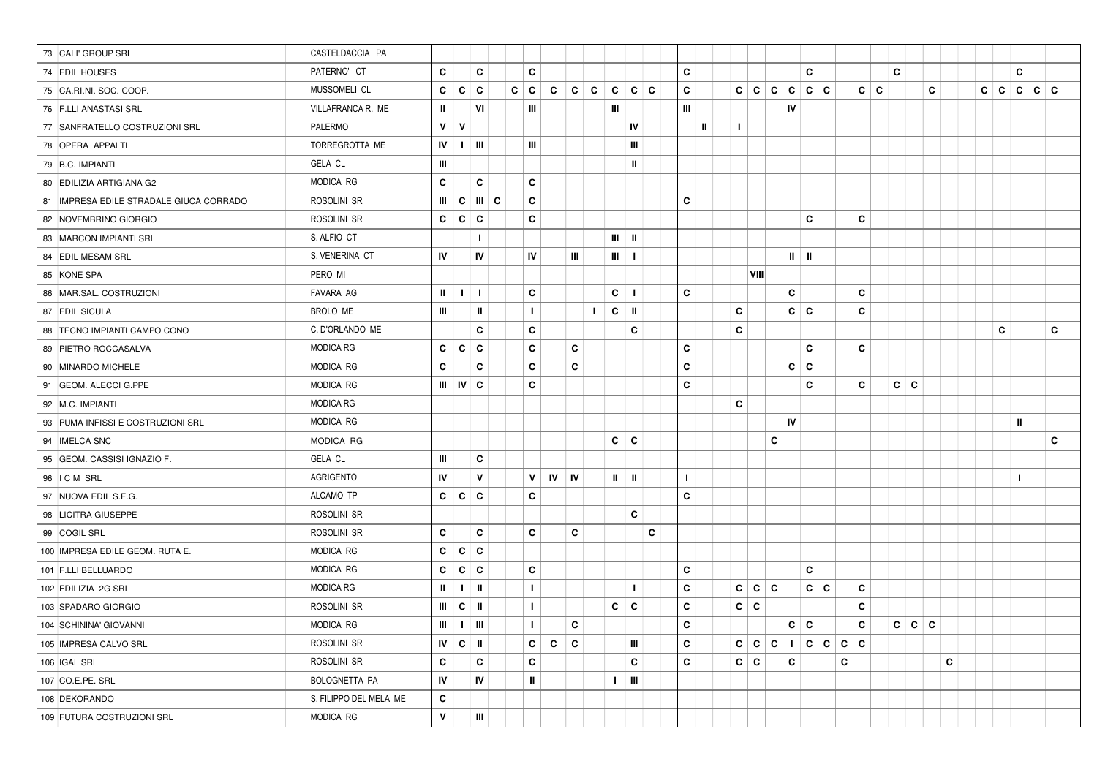| 73 CALI' GROUP SRL                      | CASTELDACCIA PA        |              |                                                                   |              |                    |                   |                |    |                            |     |              |              |              |            |     |                             |       |   |                   |   |   |                |   |   |   |              |     |     |
|-----------------------------------------|------------------------|--------------|-------------------------------------------------------------------|--------------|--------------------|-------------------|----------------|----|----------------------------|-----|--------------|--------------|--------------|------------|-----|-----------------------------|-------|---|-------------------|---|---|----------------|---|---|---|--------------|-----|-----|
| 74 EDIL HOUSES                          | PATERNO' CT            | C            |                                                                   | C            | C                  |                   |                |    |                            |     | C            |              |              |            |     |                             | C     |   |                   |   | C |                |   |   |   | C            |     |     |
| 75 CA.RI.NI. SOC. COOP.                 | MUSSOMELI CL           | C            | C                                                                 | C            | $c \mid c$         | C                 | $\mathbf{c}$   | C  | C<br> c                    | ∣c. | C            |              |              | $c \mid c$ | ∣C. | ∣c.                         | c c   |   | C                 | C |   |                | C | C | C | $\mathbf{C}$ | l c | ∣C. |
| 76 F.LLI ANASTASI SRL                   | VILLAFRANCA R. ME      | $\mathbf{I}$ |                                                                   | VI           | Ш                  |                   |                |    | Ш                          |     | Ш            |              |              |            |     | IV                          |       |   |                   |   |   |                |   |   |   |              |     |     |
| 77 SANFRATELLO COSTRUZIONI SRL          | PALERMO                | $\mathsf{v}$ | V                                                                 |              |                    |                   |                |    | IV                         |     |              | $\mathbf{u}$ | $\mathbf{I}$ |            |     |                             |       |   |                   |   |   |                |   |   |   |              |     |     |
| 78 OPERA APPALTI                        | TORREGROTTA ME         | IV           | $\mathbf{I}$                                                      | Ш            | Ш                  |                   |                |    | Ш                          |     |              |              |              |            |     |                             |       |   |                   |   |   |                |   |   |   |              |     |     |
| 79 B.C. IMPIANTI                        | <b>GELA CL</b>         | Ш            |                                                                   |              |                    |                   |                |    | $\mathbf{I}$               |     |              |              |              |            |     |                             |       |   |                   |   |   |                |   |   |   |              |     |     |
| 80 EDILIZIA ARTIGIANA G2                | MODICA RG              | C            |                                                                   | C            | C                  |                   |                |    |                            |     |              |              |              |            |     |                             |       |   |                   |   |   |                |   |   |   |              |     |     |
| 81 IMPRESA EDILE STRADALE GIUCA CORRADO | ROSOLINI SR            | Ш            | $\mathbf{c}$                                                      | I⊪∣c         | C                  |                   |                |    |                            |     | C            |              |              |            |     |                             |       |   |                   |   |   |                |   |   |   |              |     |     |
| 82 NOVEMBRINO GIORGIO                   | ROSOLINI SR            | C            | $\mathbf{c}$                                                      | $\mathbf{c}$ | C                  |                   |                |    |                            |     |              |              |              |            |     |                             | C     |   | C                 |   |   |                |   |   |   |              |     |     |
| 83 MARCON IMPIANTI SRL                  | S. ALFIO CT            |              |                                                                   |              |                    |                   |                |    | $\mathbf{m}$ $\mathbf{m}$  |     |              |              |              |            |     |                             |       |   |                   |   |   |                |   |   |   |              |     |     |
| 84 EDIL MESAM SRL                       | S. VENERINA CT         | IV           |                                                                   | IV           | IV                 |                   | Ш              |    | $III$ $1$                  |     |              |              |              |            |     | $\mathbf{II}$ $\mathbf{II}$ |       |   |                   |   |   |                |   |   |   |              |     |     |
| 85 KONE SPA                             | PERO MI                |              |                                                                   |              |                    |                   |                |    |                            |     |              |              |              | VIII       |     |                             |       |   |                   |   |   |                |   |   |   |              |     |     |
| 86   MAR.SAL. COSTRUZIONI               | FAVARA AG              | $\mathbf{H}$ | $\mathbf{I}$                                                      | $\mathbf{I}$ | C                  |                   |                |    | C<br>$\mathbf{I}$          |     | C            |              |              |            |     | C                           |       |   | C                 |   |   |                |   |   |   |              |     |     |
| 87 EDIL SICULA                          | BROLO ME               | Ш            |                                                                   | Ш            | -1                 |                   |                | L. | $C$                        |     |              |              | C            |            |     | $c \mid c$                  |       |   | C                 |   |   |                |   |   |   |              |     |     |
| 88 TECNO IMPIANTI CAMPO CONO            | C. D'ORLANDO ME        |              |                                                                   | C            | C                  |                   |                |    | C                          |     |              |              | C            |            |     |                             |       |   |                   |   |   |                |   |   | C |              |     | C   |
| 89 PIETRO ROCCASALVA                    | MODICA RG              | C            | C                                                                 | C            | C                  |                   | C              |    |                            |     | C            |              |              |            |     |                             | C     |   | C                 |   |   |                |   |   |   |              |     |     |
| 90   MINARDO MICHELE                    | <b>MODICA RG</b>       | C            |                                                                   | C            | С                  |                   | C              |    |                            |     | C            |              |              |            |     | $c \mid c$                  |       |   |                   |   |   |                |   |   |   |              |     |     |
| 91 GEOM. ALECCI G.PPE                   | MODICA RG              |              | $III$ $IV$ $C$                                                    |              | C                  |                   |                |    |                            |     | C            |              |              |            |     |                             | C     |   | C                 |   | C | $\overline{c}$ |   |   |   |              |     |     |
| 92 M.C. IMPIANTI                        | <b>MODICA RG</b>       |              |                                                                   |              |                    |                   |                |    |                            |     |              |              | C            |            |     |                             |       |   |                   |   |   |                |   |   |   |              |     |     |
| 93 PUMA INFISSI E COSTRUZIONI SRL       | MODICA RG              |              |                                                                   |              |                    |                   |                |    |                            |     |              |              |              |            |     | IV                          |       |   |                   |   |   |                |   |   |   | Ш            |     |     |
| 94 IMELCA SNC                           | MODICA RG              |              |                                                                   |              |                    |                   |                |    | ∣c<br>C                    |     |              |              |              |            | C   |                             |       |   |                   |   |   |                |   |   |   |              |     | C   |
| 95 GEOM. CASSISI IGNAZIO F.             | <b>GELA CL</b>         | Ш            |                                                                   | C            |                    |                   |                |    |                            |     |              |              |              |            |     |                             |       |   |                   |   |   |                |   |   |   |              |     |     |
| 96 ICM SRL                              | AGRIGENTO              | IV           |                                                                   | V            | V                  | $IV$ $IV$         |                |    | $\mathbf{I}$<br>H.         |     | $\mathbf{I}$ |              |              |            |     |                             |       |   |                   |   |   |                |   |   |   | $\mathbf{I}$ |     |     |
| 97 NUOVA EDIL S.F.G.                    | ALCAMO TP              | C            | C                                                                 | C            | C                  |                   |                |    |                            |     | C            |              |              |            |     |                             |       |   |                   |   |   |                |   |   |   |              |     |     |
| 98 LICITRA GIUSEPPE                     | ROSOLINI SR            |              |                                                                   |              |                    |                   |                |    | C                          |     |              |              |              |            |     |                             |       |   |                   |   |   |                |   |   |   |              |     |     |
| 99 COGIL SRL                            | ROSOLINI SR            | C            |                                                                   | C            | C                  |                   | C              |    |                            | C   |              |              |              |            |     |                             |       |   |                   |   |   |                |   |   |   |              |     |     |
| 100 IMPRESA EDILE GEOM. RUTA E.         | MODICA RG              | C            | C                                                                 | C            |                    |                   |                |    |                            |     |              |              |              |            |     |                             |       |   |                   |   |   |                |   |   |   |              |     |     |
| 101 F.LLI BELLUARDO                     | <b>MODICA RG</b>       | C            | C C                                                               |              | C                  |                   |                |    |                            |     | C            |              |              |            |     |                             | C.    |   |                   |   |   |                |   |   |   |              |     |     |
| 102 EDILIZIA 2G SRL                     | <b>MODICA RG</b>       | $\mathbf{I}$ | $\mathbf{I}$                                                      | Ш            | $\mathbf{I}$       |                   |                |    | $\mathbf{I}$               |     | C            |              |              | c c c      |     |                             | C   C |   | C                 |   |   |                |   |   |   |              |     |     |
| 103 SPADARO GIORGIO                     | ROSOLINI SR            | Ш            | C                                                                 | H.           | $\mathbf{I}$       |                   |                |    | $c \mid c$                 |     | C            |              | $c \mid c$   |            |     |                             |       |   | C                 |   |   |                |   |   |   |              |     |     |
| 104 SCHININA' GIOVANNI                  | MODICA RG              |              | $\mathfrak{m}$ $\mid$ $\mathfrak{t}$ $\mid$ $\mathfrak{m}$ $\mid$ |              | $\vert \bot \vert$ |                   | $\mathbf{C}^-$ |    |                            |     | C            |              |              |            |     |                             |       |   | $ c c $ $ c $     |   |   | c   c   c      |   |   |   |              |     |     |
| 105 IMPRESA CALVO SRL                   | ROSOLINI SR            |              | IV   C   II                                                       |              |                    | $c \mid c \mid c$ |                |    | $\mathbf{m}$               |     | C            |              |              |            |     |                             |       |   | c c c 1 c c c c c |   |   |                |   |   |   |              |     |     |
| 106 IGAL SRL                            | ROSOLINI SR            | C            |                                                                   | $\mathbf{c}$ | C                  |                   |                |    | $\mathbf{C}$               |     | C            |              | $c \mid c$   |            |     | $\mathbf{c}$                |       | C |                   |   |   |                | C |   |   |              |     |     |
| 107 CO.E.PE. SRL                        | BOLOGNETTA PA          | IV           |                                                                   | IV           | $\mathbf{I}$       |                   |                |    | $1 \parallel 11 \parallel$ |     |              |              |              |            |     |                             |       |   |                   |   |   |                |   |   |   |              |     |     |
| 108 DEKORANDO                           | S. FILIPPO DEL MELA ME | C            |                                                                   |              |                    |                   |                |    |                            |     |              |              |              |            |     |                             |       |   |                   |   |   |                |   |   |   |              |     |     |
| 109 FUTURA COSTRUZIONI SRL              | MODICA RG              | V            |                                                                   | $\mathbf{m}$ |                    |                   |                |    |                            |     |              |              |              |            |     |                             |       |   |                   |   |   |                |   |   |   |              |     |     |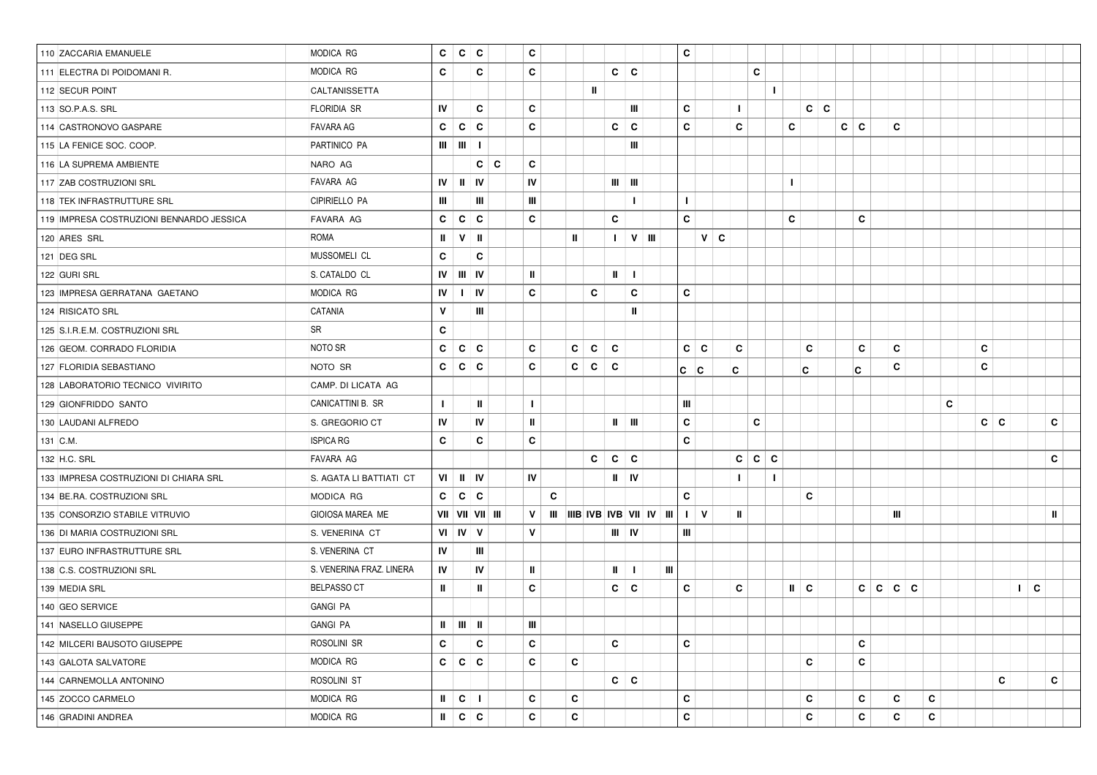| 110 ZACCARIA EMANUELE                    | MODICA RG                | $\mathbf{c}$  | ∣c.                             | C                                            | C            |   |              |              |                             |           |   | $\mathbf{c}$ |             |              |                    |   |              |            |            |   |       |              |   |   |            |   |                           |              |
|------------------------------------------|--------------------------|---------------|---------------------------------|----------------------------------------------|--------------|---|--------------|--------------|-----------------------------|-----------|---|--------------|-------------|--------------|--------------------|---|--------------|------------|------------|---|-------|--------------|---|---|------------|---|---------------------------|--------------|
| 111 ELECTRA DI POIDOMANI R.              | MODICA RG                | C             |                                 | C                                            | $\mathbf c$  |   |              |              | $c \mid c$                  |           |   |              |             |              | C                  |   |              |            |            |   |       |              |   |   |            |   |                           |              |
| 112 SECUR POINT                          | CALTANISSETTA            |               |                                 |                                              |              |   |              | Ш            |                             |           |   |              |             |              |                    |   |              |            |            |   |       |              |   |   |            |   |                           |              |
| 113 SO.P.A.S. SRL                        | FLORIDIA SR              | IV            |                                 | C                                            | C            |   |              |              |                             | Ш         |   | C            |             | L            |                    |   |              | $c \mid c$ |            |   |       |              |   |   |            |   |                           |              |
| 114 CASTRONOVO GASPARE                   | <b>FAVARA AG</b>         | $\mathbf{C}$  | $\mathbf{C}$                    | $\mathbf{c}$                                 | $\mathbf c$  |   |              |              | C                           | C         |   | $\mathbf c$  |             | C            |                    |   | C            |            | $c \mid c$ |   |       | C            |   |   |            |   |                           |              |
| 115 LA FENICE SOC. COOP.                 | PARTINICO PA             |               | $III$   $III$                   | $\mathbf{I}$                                 |              |   |              |              |                             | Ш         |   |              |             |              |                    |   |              |            |            |   |       |              |   |   |            |   |                           |              |
| 116 LA SUPREMA AMBIENTE                  | NARO AG                  |               |                                 | $c \mid c$                                   | C            |   |              |              |                             |           |   |              |             |              |                    |   |              |            |            |   |       |              |   |   |            |   |                           |              |
| 117 ZAB COSTRUZIONI SRL                  | FAVARA AG                | IV            | $\mathbf{I}$                    | IV                                           | IV           |   |              |              | $III$ $III$                 |           |   |              |             |              |                    |   | $\mathbf{I}$ |            |            |   |       |              |   |   |            |   |                           |              |
| 118 TEK INFRASTRUTTURE SRL               | CIPIRIELLO PA            | Ш             |                                 | Ш                                            | Ш            |   |              |              |                             | ı         |   | $\mathbf{I}$ |             |              |                    |   |              |            |            |   |       |              |   |   |            |   |                           |              |
| 119 IMPRESA COSTRUZIONI BENNARDO JESSICA | FAVARA AG                | C             | C                               | C                                            | C            |   |              |              | C                           |           |   | C            |             |              |                    |   | C            |            |            | C |       |              |   |   |            |   |                           |              |
| 120 ARES SRL                             | <b>ROMA</b>              | Ш             | $\mathsf{v}$                    | - II                                         |              |   | $\mathbf{u}$ |              | $\mathbf{I}$                | $V$   III |   |              |             | $V \mid C$   |                    |   |              |            |            |   |       |              |   |   |            |   |                           |              |
| 121 DEG SRL                              | MUSSOMELI CL             | C             |                                 | C                                            |              |   |              |              |                             |           |   |              |             |              |                    |   |              |            |            |   |       |              |   |   |            |   |                           |              |
| 122 GURI SRL                             | S. CATALDO CL            |               | $IV \parallel III \parallel IV$ |                                              | Ш            |   |              |              | $\mathbf{u}$                | -1        |   |              |             |              |                    |   |              |            |            |   |       |              |   |   |            |   |                           |              |
| 123 IMPRESA GERRATANA GAETANO            | MODICA RG                | IV            | $\mathbf{L}$                    | IV                                           | C            |   |              | C            |                             | C         |   | $\mathbf c$  |             |              |                    |   |              |            |            |   |       |              |   |   |            |   |                           |              |
| 124 RISICATO SRL                         | CATANIA                  | V             |                                 | Ш                                            |              |   |              |              |                             | Ш         |   |              |             |              |                    |   |              |            |            |   |       |              |   |   |            |   |                           |              |
| 125 S.I.R.E.M. COSTRUZIONI SRL           | SR                       | C             |                                 |                                              |              |   |              |              |                             |           |   |              |             |              |                    |   |              |            |            |   |       |              |   |   |            |   |                           |              |
| 126 GEOM. CORRADO FLORIDIA               | NOTO SR                  | C             | C                               | C                                            | C            |   | C            | C            | C                           |           |   | C            | C           | C            |                    |   |              | C          |            | C |       | C            |   |   | C          |   |                           |              |
| 127 FLORIDIA SEBASTIANO                  | NOTO SR                  | C             | C                               | C                                            | C            |   | C            | $\mathbf{C}$ | C                           |           |   | lc.          | $ {\bf c} $ | C            |                    |   |              | C.         |            | C |       | C            |   |   | C          |   |                           |              |
| 128 LABORATORIO TECNICO VIVIRITO         | CAMP. DI LICATA AG       |               |                                 |                                              |              |   |              |              |                             |           |   |              |             |              |                    |   |              |            |            |   |       |              |   |   |            |   |                           |              |
| 129 GIONFRIDDO SANTO                     | CANICATTINI B. SR        | $\mathbf{L}$  |                                 | Ш                                            | T            |   |              |              |                             |           |   | Ш            |             |              |                    |   |              |            |            |   |       |              |   | C |            |   |                           |              |
| 130 LAUDANI ALFREDO                      | S. GREGORIO CT           | IV            |                                 | IV                                           | Ш            |   |              |              | $\mathbf{u}$                | Ш         |   | $\mathbf c$  |             |              | C                  |   |              |            |            |   |       |              |   |   | $c \mid c$ |   |                           | C            |
| 131 C.M.                                 | <b>ISPICA RG</b>         | C             |                                 | C                                            | $\mathbf c$  |   |              |              |                             |           |   | $\mathbf c$  |             |              |                    |   |              |            |            |   |       |              |   |   |            |   |                           |              |
| 132 H.C. SRL                             | FAVARA AG                |               |                                 |                                              |              |   |              | C            | C                           | C         |   |              |             |              | ∣c<br>$\mathbf{c}$ | C |              |            |            |   |       |              |   |   |            |   |                           | C            |
| 133 IMPRESA COSTRUZIONI DI CHIARA SRL    | S. AGATA LI BATTIATI CT  |               | $VI$ $II$ $IV$                  |                                              | IV           |   |              |              | $\mathbf{II}$ $\mathbf{IV}$ |           |   |              |             | L.           |                    | L |              |            |            |   |       |              |   |   |            |   |                           |              |
| 134 BE.RA. COSTRUZIONI SRL               | MODICA RG                | C.            | C                               | C                                            |              | C |              |              |                             |           |   | C            |             |              |                    |   |              | C          |            |   |       |              |   |   |            |   |                           |              |
| 135 CONSORZIO STABILE VITRUVIO           | GIOIOSA MAREA ME         |               |                                 | VII   VII   VII   III                        | V            |   |              |              |                             |           |   | $\mathbf{L}$ | <b>V</b>    | $\mathbf{u}$ |                    |   |              |            |            |   |       | $\mathbf{m}$ |   |   |            |   |                           | $\mathbf{u}$ |
| 136 DI MARIA COSTRUZIONI SRL             | S. VENERINA CT           |               | VI   IV   V                     |                                              | $\mathbf{v}$ |   |              |              | $III$   IV                  |           |   | Ш            |             |              |                    |   |              |            |            |   |       |              |   |   |            |   |                           |              |
| 137 EURO INFRASTRUTTURE SRL              | S. VENERINA CT           | <b>IV</b>     |                                 | Ш                                            |              |   |              |              |                             |           |   |              |             |              |                    |   |              |            |            |   |       |              |   |   |            |   |                           |              |
| 138 C.S. COSTRUZIONI SRL                 | S. VENERINA FRAZ. LINERA | IV            |                                 | IV                                           | Ш            |   |              |              | $\mathbf{u}$                | H         | Ш |              |             |              |                    |   |              |            |            |   |       |              |   |   |            |   |                           |              |
| 139 MEDIA SRL                            | <b>BELPASSO CT</b>       | Ш             |                                 | Ш                                            | $\mathbf c$  |   |              |              | C                           | C         |   | C            |             | C            |                    |   | $\parallel$  | ∣ C        |            | c | c c c |              |   |   |            |   | $\mathsf{I}$ $\mathsf{C}$ |              |
| 140 GEO SERVICE                          | GANGI PA                 |               |                                 |                                              |              |   |              |              |                             |           |   |              |             |              |                    |   |              |            |            |   |       |              |   |   |            |   |                           |              |
| 141 NASELLO GIUSEPPE                     | <b>GANGI PA</b>          |               |                                 | $\mathbf{u} \mid \mathbf{u} \mid \mathbf{u}$ | Ш            |   |              |              |                             |           |   |              |             |              |                    |   |              |            |            |   |       |              |   |   |            |   |                           |              |
| 142 MILCERI BAUSOTO GIUSEPPE             | ROSOLINI SR              | C             |                                 | $\mathbf{c}$                                 | C            |   |              |              | C                           |           |   | C            |             |              |                    |   |              |            |            | C |       |              |   |   |            |   |                           |              |
| 143 GALOTA SALVATORE                     | MODICA RG                | $\mathbf{c}$  | c                               | ∣ C                                          | C            |   | C            |              |                             |           |   |              |             |              |                    |   |              | C          |            | C |       |              |   |   |            |   |                           |              |
| 144 CARNEMOLLA ANTONINO                  | ROSOLINI ST              |               |                                 |                                              |              |   |              |              | $c \mid c$                  |           |   |              |             |              |                    |   |              |            |            |   |       |              |   |   |            | C |                           | C            |
| 145 ZOCCO CARMELO                        | MODICA RG                | $\  \cdot \ $ | $\vert$ C                       | $\mathbf{I}$                                 | $\mathbf c$  |   | C            |              |                             |           |   | $\mathbf{C}$ |             |              |                    |   |              | C          |            | C |       | C            | C |   |            |   |                           |              |
| 146 GRADINI ANDREA                       | MODICA RG                |               | $\parallel$   $\vert$ C   C     |                                              | $\mathbf c$  |   | $\mathbf{C}$ |              |                             |           |   | $\mathbf c$  |             |              |                    |   |              | C          |            | C |       | C            | c |   |            |   |                           |              |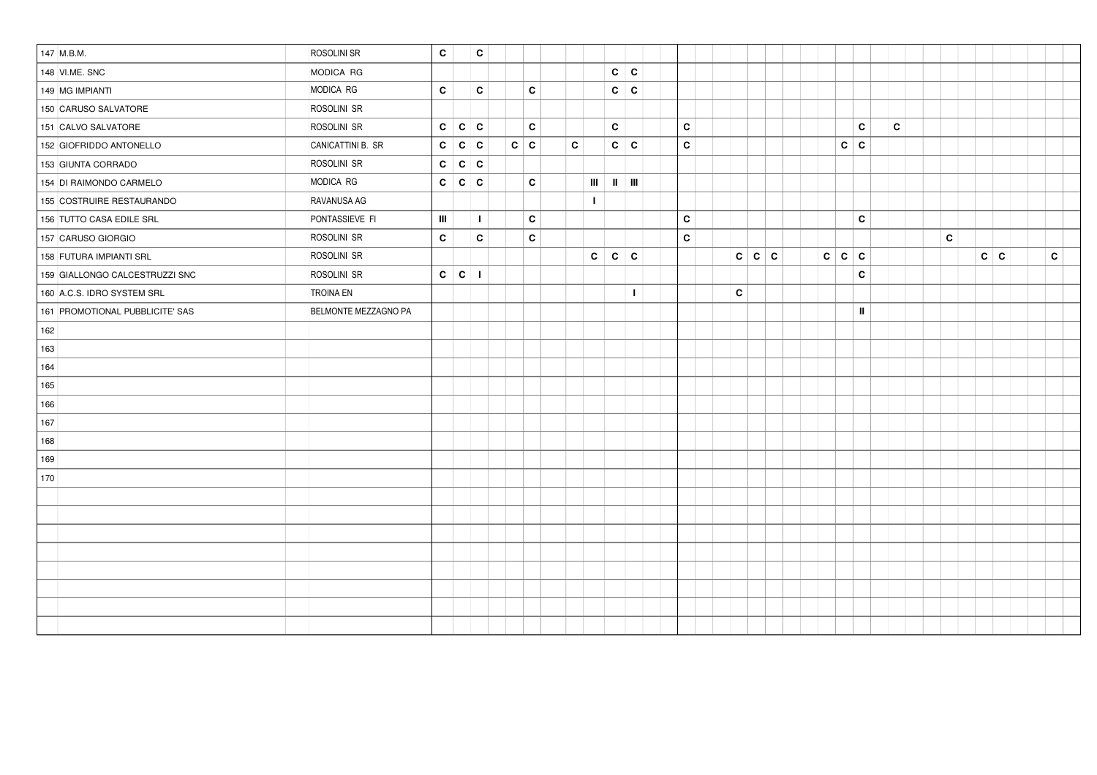| 147 M.B.M. |                                 | ROSOLINI SR          | C            |             | C              |              |              |              |              |              |              |            |             |              |            |               |              |   |            |              |  |
|------------|---------------------------------|----------------------|--------------|-------------|----------------|--------------|--------------|--------------|--------------|--------------|--------------|------------|-------------|--------------|------------|---------------|--------------|---|------------|--------------|--|
|            | 148 VI.ME. SNC                  | MODICA RG            |              |             |                |              |              |              | $c \mid c$   |              |              |            |             |              |            |               |              |   |            |              |  |
|            | 149 MG IMPIANTI                 | MODICA RG            | $\mathbf{C}$ |             | $\mathbf{C}$   | $\mathbf{C}$ |              |              | $\mathbf{C}$ | ∣c.          |              |            |             |              |            |               |              |   |            |              |  |
|            | 150 CARUSO SALVATORE            | ROSOLINI SR          |              |             |                |              |              |              |              |              |              |            |             |              |            |               |              |   |            |              |  |
|            | 151 CALVO SALVATORE             | ROSOLINI SR          | c            | c c         |                | $\mathbf c$  |              |              | C            |              | $\mathbf{c}$ |            |             |              |            | $\mathbf{c}$  | $\mathbf{C}$ |   |            |              |  |
|            | 152 GIOFRIDDO ANTONELLO         | CANICATTINI B. SR    | C            | $\mathbf c$ | $\mathbf{c}$   | $c \mid c$   | $\mathbf{C}$ |              | $\mathbf{C}$ | C            | $\mathbf c$  |            |             |              | $c \mid c$ |               |              |   |            |              |  |
|            | 153 GIUNTA CORRADO              | ROSOLINI SR          | C            | $\mathbf c$ | $\mathbf c$    |              |              |              |              |              |              |            |             |              |            |               |              |   |            |              |  |
|            | 154 DI RAIMONDO CARMELO         | MODICA RG            | C            | $\mathbf c$ | C              | C            |              | Ш            | $\parallel$  | H            |              |            |             |              |            |               |              |   |            |              |  |
|            | 155 COSTRUIRE RESTAURANDO       | RAVANUSA AG          |              |             |                |              |              | $\mathbf{I}$ |              |              |              |            |             |              |            |               |              |   |            |              |  |
|            | 156 TUTTO CASA EDILE SRL        | PONTASSIEVE FI       | $\mathbf{m}$ |             | $\blacksquare$ | $\mathbf{c}$ |              |              |              |              | $\mathbf{c}$ |            |             |              |            | $\mathbf{c}$  |              |   |            |              |  |
|            | 157 CARUSO GIORGIO              | ROSOLINI SR          | C            |             | C              | $\mathbf c$  |              |              |              |              | $\mathbf{c}$ |            |             |              |            |               |              | C |            |              |  |
|            | 158 FUTURA IMPIANTI SRL         | ROSOLINI SR          |              |             |                |              |              | C            | $\mathbf{c}$ | $\mathbf{c}$ |              | $c \mid c$ | $\mathbf c$ | $\mathbf{C}$ | c c        |               |              |   | $c \mid c$ | $\mathbf{C}$ |  |
|            | 159 GIALLONGO CALCESTRUZZI SNC  | ROSOLINI SR          | $\mathbf{c}$ | ∣ c         | $\blacksquare$ |              |              |              |              |              |              |            |             |              |            | C             |              |   |            |              |  |
|            | 160 A.C.S. IDRO SYSTEM SRL      | <b>TROINA EN</b>     |              |             |                |              |              |              |              | $\mathbf{I}$ |              | C          |             |              |            |               |              |   |            |              |  |
|            | 161 PROMOTIONAL PUBBLICITE' SAS | BELMONTE MEZZAGNO PA |              |             |                |              |              |              |              |              |              |            |             |              |            | $\mathbf{II}$ |              |   |            |              |  |
| 162        |                                 |                      |              |             |                |              |              |              |              |              |              |            |             |              |            |               |              |   |            |              |  |
| 163        |                                 |                      |              |             |                |              |              |              |              |              |              |            |             |              |            |               |              |   |            |              |  |
| 164        |                                 |                      |              |             |                |              |              |              |              |              |              |            |             |              |            |               |              |   |            |              |  |
| 165        |                                 |                      |              |             |                |              |              |              |              |              |              |            |             |              |            |               |              |   |            |              |  |
| 166        |                                 |                      |              |             |                |              |              |              |              |              |              |            |             |              |            |               |              |   |            |              |  |
| 167        |                                 |                      |              |             |                |              |              |              |              |              |              |            |             |              |            |               |              |   |            |              |  |
| 168        |                                 |                      |              |             |                |              |              |              |              |              |              |            |             |              |            |               |              |   |            |              |  |
| 169        |                                 |                      |              |             |                |              |              |              |              |              |              |            |             |              |            |               |              |   |            |              |  |
| 170        |                                 |                      |              |             |                |              |              |              |              |              |              |            |             |              |            |               |              |   |            |              |  |
|            |                                 |                      |              |             |                |              |              |              |              |              |              |            |             |              |            |               |              |   |            |              |  |
|            |                                 |                      |              |             |                |              |              |              |              |              |              |            |             |              |            |               |              |   |            |              |  |
|            |                                 |                      |              |             |                |              |              |              |              |              |              |            |             |              |            |               |              |   |            |              |  |
|            |                                 |                      |              |             |                |              |              |              |              |              |              |            |             |              |            |               |              |   |            |              |  |
|            |                                 |                      |              |             |                |              |              |              |              |              |              |            |             |              |            |               |              |   |            |              |  |
|            |                                 |                      |              |             |                |              |              |              |              |              |              |            |             |              |            |               |              |   |            |              |  |
|            |                                 |                      |              |             |                |              |              |              |              |              |              |            |             |              |            |               |              |   |            |              |  |
|            |                                 |                      |              |             |                |              |              |              |              |              |              |            |             |              |            |               |              |   |            |              |  |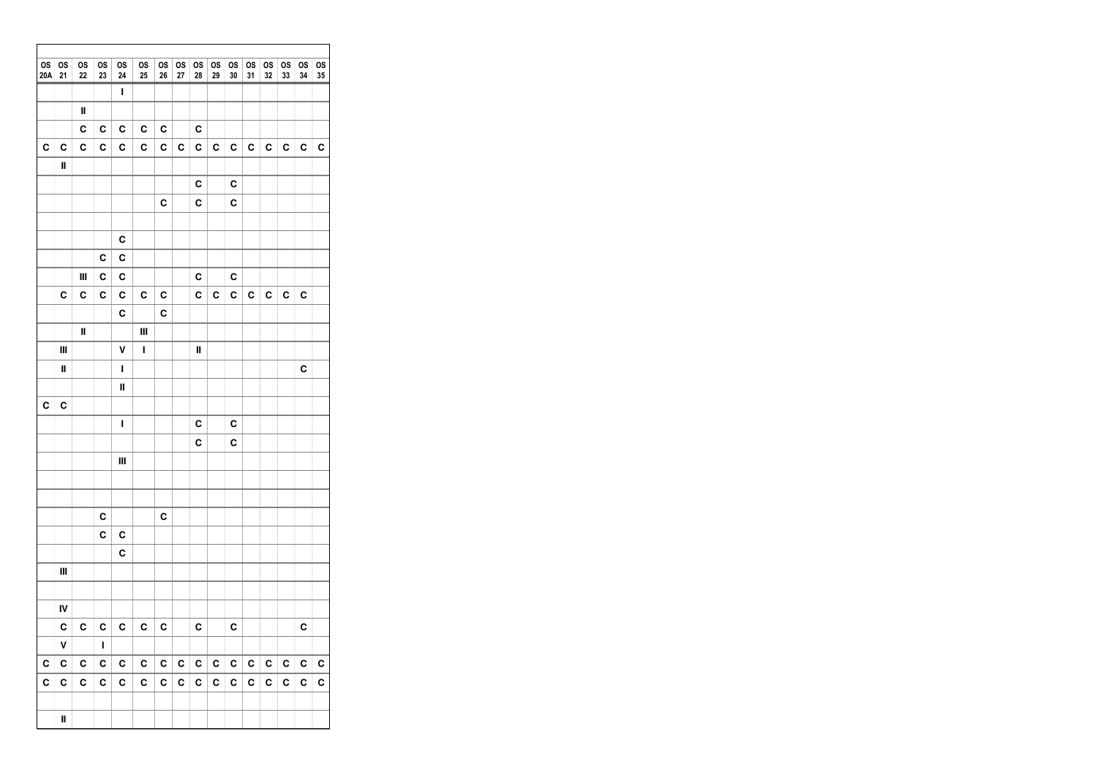| $\overline{\text{os}}$<br>20A | <b>OS</b><br>21 | 0S<br>22 | OS<br>23 | os<br>24 | <b>OS</b><br>25 | <b>OS</b><br>26 | <b>OS</b><br>27 | 0S<br>28 | 0S<br>29 | 0S<br>30                                                           | <b>OS</b><br>31 | <b>OS</b><br>32 | <b>OS</b><br>33 | <b>OS</b><br>34 | os<br>35 |
|-------------------------------|-----------------|----------|----------|----------|-----------------|-----------------|-----------------|----------|----------|--------------------------------------------------------------------|-----------------|-----------------|-----------------|-----------------|----------|
|                               |                 |          |          | I        |                 |                 |                 |          |          |                                                                    |                 |                 |                 |                 |          |
|                               |                 | Ш        |          |          |                 |                 |                 |          |          | C<br>C<br>C<br>c<br>C<br>C<br>C<br>C<br>С<br>C<br>C<br>C<br>C<br>C |                 |                 |                 |                 |          |
|                               |                 | C        | C        | C        | C               | C               |                 | C        |          | C<br>C<br>C<br>C                                                   |                 |                 |                 |                 |          |
| c                             | C               | C        | C        | C        | C               | C               | C               | C        | C        |                                                                    |                 |                 |                 |                 |          |
|                               | II              |          |          |          |                 |                 |                 |          |          |                                                                    |                 |                 |                 |                 |          |
|                               |                 |          |          |          |                 |                 |                 | C        |          |                                                                    |                 |                 |                 |                 |          |
|                               |                 |          |          |          |                 | C               |                 | C        |          |                                                                    |                 |                 |                 |                 |          |
|                               |                 |          |          |          |                 |                 |                 |          |          |                                                                    |                 |                 |                 |                 |          |
|                               |                 |          |          | C        |                 |                 |                 |          |          |                                                                    |                 |                 |                 |                 |          |
|                               |                 |          | C        | C        |                 |                 |                 |          |          |                                                                    |                 |                 |                 |                 |          |
|                               | c               | Ш<br>c   | C<br>C   | C<br>c   | С               | C               |                 | C<br>C   |          |                                                                    |                 |                 |                 |                 |          |
|                               |                 |          |          | C        |                 | C               |                 |          |          |                                                                    |                 |                 |                 |                 |          |
|                               |                 | Ш        |          |          | Ш               |                 |                 |          |          |                                                                    |                 |                 |                 |                 |          |
|                               | Ш               |          |          | ٧        | ı               |                 |                 | Ш        |          |                                                                    |                 |                 |                 |                 |          |
|                               | Ш               |          |          | I        |                 |                 |                 |          |          |                                                                    |                 |                 |                 |                 |          |
|                               |                 |          |          | Ш        |                 |                 |                 |          |          |                                                                    |                 |                 |                 |                 |          |
| C                             | C               |          |          |          |                 |                 |                 |          |          |                                                                    |                 |                 |                 |                 |          |
|                               |                 |          |          | I        |                 |                 |                 | C        |          |                                                                    |                 |                 |                 |                 |          |
|                               |                 |          |          |          |                 |                 |                 | C        |          |                                                                    |                 |                 |                 |                 |          |
|                               |                 |          |          | Ш        |                 |                 |                 |          |          |                                                                    |                 |                 |                 |                 |          |
|                               |                 |          |          |          |                 |                 |                 |          |          |                                                                    |                 |                 |                 |                 |          |
|                               |                 |          | C        |          |                 | C               |                 |          |          |                                                                    |                 |                 |                 |                 |          |
|                               |                 |          | C        | C        |                 |                 |                 |          |          |                                                                    |                 |                 |                 |                 |          |
|                               |                 |          |          | C        |                 |                 |                 |          |          |                                                                    |                 |                 |                 |                 |          |
|                               | Ш               |          |          |          |                 |                 |                 |          |          |                                                                    |                 |                 |                 |                 |          |
|                               |                 |          |          |          |                 |                 |                 |          |          |                                                                    |                 |                 |                 |                 |          |
|                               | IV              |          |          |          |                 |                 |                 |          |          |                                                                    |                 |                 |                 |                 |          |
|                               | c l             | C        | C        | C        | C               | C               |                 | C        |          | C                                                                  |                 |                 |                 | C               |          |
|                               | ٧               |          | L        |          |                 |                 |                 |          |          |                                                                    |                 |                 |                 |                 |          |
| C                             | C               | C        | c        | C        | С               | $\mathbf c$     | C               | c        | C        | С                                                                  | $\mathbf{c}$    | C               | С               | C               | С        |
| C                             | C               | С        | C        | C        | С               | С               | C               | C        | C        | С                                                                  | C               | C               | C               | C               | C        |
|                               |                 |          |          |          |                 |                 |                 |          |          |                                                                    |                 |                 |                 |                 |          |
|                               | Ш               |          |          |          |                 |                 |                 |          |          |                                                                    |                 |                 |                 |                 |          |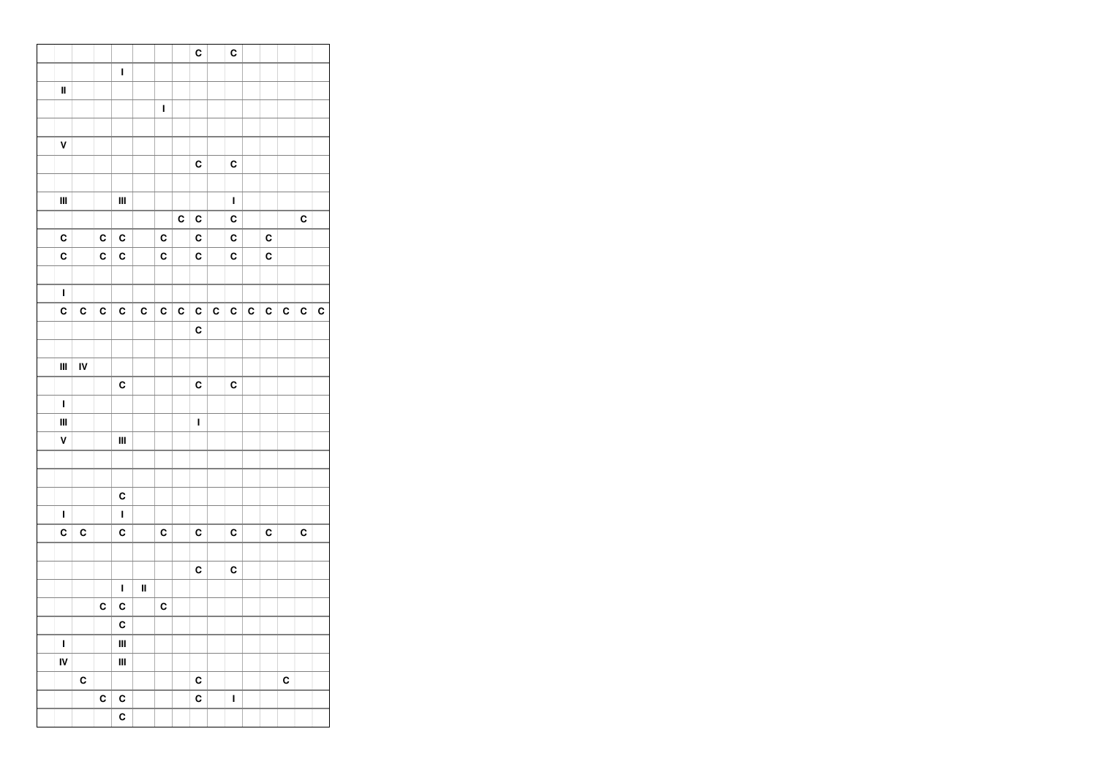|                |    |   |              |    |   |   | C           |   | C           |   |   |   |   |   |
|----------------|----|---|--------------|----|---|---|-------------|---|-------------|---|---|---|---|---|
|                |    |   | $\mathbf{I}$ |    |   |   |             |   |             |   |   |   |   |   |
| $\mathbf I$    |    |   |              |    |   |   |             |   |             |   |   |   |   |   |
|                |    |   |              |    | I |   |             |   |             |   |   |   |   |   |
|                |    |   |              |    |   |   |             |   |             |   |   |   |   |   |
| V              |    |   |              |    |   |   |             |   |             |   |   |   |   |   |
|                |    |   |              |    |   |   | C           |   | C           |   |   |   |   |   |
|                |    |   |              |    |   |   |             |   |             |   |   |   |   |   |
| $\mathbf{III}$ |    |   | Ш            |    |   |   |             |   | $\mathbf I$ |   |   |   |   |   |
|                |    |   |              |    |   | C | C           |   | C           |   |   |   | C |   |
| $\mathbf c$    |    | C | C            |    | C |   | C           |   | C           |   | C |   |   |   |
| C              |    | C | C            |    | C |   | C           |   | C           |   | C |   |   |   |
|                |    |   |              |    |   |   |             |   |             |   |   |   |   |   |
| $\mathbf{I}$   |    |   |              |    |   |   |             |   |             |   |   |   |   |   |
| C              | C  | C | C            | C  | C | C | C           | C | C           | C | C | C | C | C |
|                |    |   |              |    |   |   | C           |   |             |   |   |   |   |   |
|                |    |   |              |    |   |   |             |   |             |   |   |   |   |   |
| $\mathbf{III}$ | IV |   |              |    |   |   |             |   |             |   |   |   |   |   |
|                |    |   | C            |    |   |   | C           |   | C           |   |   |   |   |   |
| I              |    |   |              |    |   |   |             |   |             |   |   |   |   |   |
| $\mathbf{III}$ |    |   |              |    |   |   | $\mathbf I$ |   |             |   |   |   |   |   |
| V              |    |   | Ш            |    |   |   |             |   |             |   |   |   |   |   |
|                |    |   |              |    |   |   |             |   |             |   |   |   |   |   |
|                |    |   |              |    |   |   |             |   |             |   |   |   |   |   |
|                |    |   | C            |    |   |   |             |   |             |   |   |   |   |   |
| $\mathbf I$    |    |   | $\mathbf I$  |    |   |   |             |   |             |   |   |   |   |   |
| C              | C  |   | C            |    | C |   | C           |   | C           |   | C |   | C |   |
|                |    |   |              |    |   |   |             |   |             |   |   |   |   |   |
|                |    |   |              |    |   |   | C           |   | C           |   |   |   |   |   |
|                |    |   | $\mathbf I$  | II |   |   |             |   |             |   |   |   |   |   |
|                |    | C | C            |    | C |   |             |   |             |   |   |   |   |   |
|                |    |   | C            |    |   |   |             |   |             |   |   |   |   |   |
| $\mathbf I$    |    |   | Ш            |    |   |   |             |   |             |   |   |   |   |   |
| IV             |    |   | Ш            |    |   |   |             |   |             |   |   |   |   |   |
|                | C  |   |              |    |   |   | C           |   |             |   |   | C |   |   |
|                |    | C | C            |    |   |   | C           |   | I           |   |   |   |   |   |
|                |    |   | C            |    |   |   |             |   |             |   |   |   |   |   |
|                |    |   |              |    |   |   |             |   |             |   |   |   |   |   |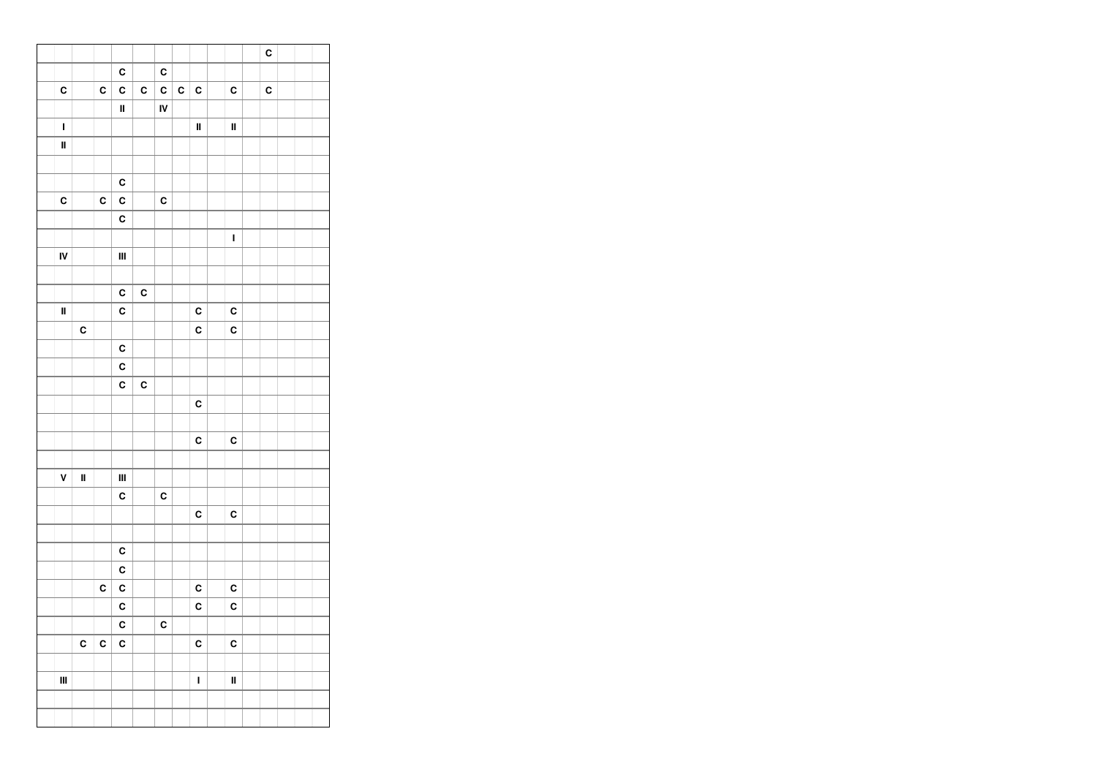|                |    |   |                |             |    |   |                |             | C |  |  |
|----------------|----|---|----------------|-------------|----|---|----------------|-------------|---|--|--|
|                |    |   | C              |             | C  |   |                |             |   |  |  |
| C              |    | C | C              | C           | C  | C | C              | C           | C |  |  |
|                |    |   | $\mathbf I$    |             | IV |   |                |             |   |  |  |
| $\mathbf{I}$   |    |   |                |             |    |   | $\blacksquare$ | $\mathbf I$ |   |  |  |
| II             |    |   |                |             |    |   |                |             |   |  |  |
|                |    |   |                |             |    |   |                |             |   |  |  |
|                |    |   | C              |             |    |   |                |             |   |  |  |
| C              |    | C | C              |             | C  |   |                |             |   |  |  |
|                |    |   | C              |             |    |   |                |             |   |  |  |
|                |    |   |                |             |    |   |                | $\mathbf I$ |   |  |  |
| IV             |    |   | Ш              |             |    |   |                |             |   |  |  |
|                |    |   |                |             |    |   |                |             |   |  |  |
|                |    |   | C              | C           |    |   |                |             |   |  |  |
| $\mathbf{I}$   |    |   | C              |             |    |   | $\mathbf c$    | C           |   |  |  |
|                | C  |   |                |             |    |   | C              | C           |   |  |  |
|                |    |   | $\mathbf c$    |             |    |   |                |             |   |  |  |
|                |    |   | C              |             |    |   |                |             |   |  |  |
|                |    |   | C              | $\mathbf c$ |    |   |                |             |   |  |  |
|                |    |   |                |             |    |   | C              |             |   |  |  |
|                |    |   |                |             |    |   |                |             |   |  |  |
|                |    |   |                |             |    |   | C              | C           |   |  |  |
|                |    |   |                |             |    |   |                |             |   |  |  |
| V              | II |   | $\mathbf{III}$ |             |    |   |                |             |   |  |  |
|                |    |   | C              |             | C  |   |                |             |   |  |  |
|                |    |   |                |             |    |   | C              | C           |   |  |  |
|                |    |   |                |             |    |   |                |             |   |  |  |
|                |    |   | C              |             |    |   |                |             |   |  |  |
|                |    |   | C              |             |    |   |                |             |   |  |  |
|                |    | C | C              |             |    |   | C              | C           |   |  |  |
|                |    |   | C              |             |    |   | C              | C           |   |  |  |
|                |    |   | C              |             | C  |   |                |             |   |  |  |
|                | C  | C | C              |             |    |   | C              | C           |   |  |  |
|                |    |   |                |             |    |   |                |             |   |  |  |
| $\mathbf{III}$ |    |   |                |             |    |   | $\mathbf I$    | II          |   |  |  |
|                |    |   |                |             |    |   |                |             |   |  |  |
|                |    |   |                |             |    |   |                |             |   |  |  |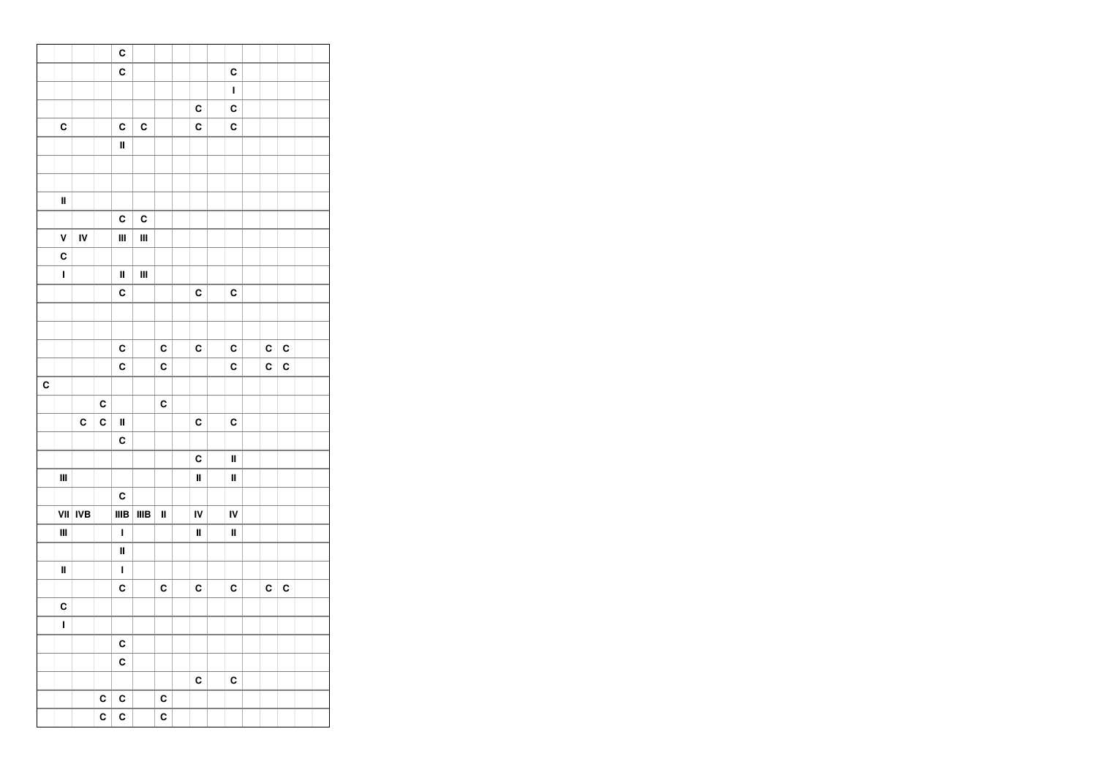|   |                                    |            |   | C            |             |              |             |             |   |   |  |
|---|------------------------------------|------------|---|--------------|-------------|--------------|-------------|-------------|---|---|--|
|   |                                    |            |   | C            |             |              |             | C           |   |   |  |
|   |                                    |            |   |              |             |              |             | $\mathbf I$ |   |   |  |
|   |                                    |            |   |              |             |              | C           | C           |   |   |  |
|   | C                                  |            |   | C            | C           |              | C           | C           |   |   |  |
|   |                                    |            |   | $\mathbf I$  |             |              |             |             |   |   |  |
|   |                                    |            |   |              |             |              |             |             |   |   |  |
|   |                                    |            |   |              |             |              |             |             |   |   |  |
|   | II                                 |            |   |              |             |              |             |             |   |   |  |
|   |                                    |            |   | C            | C           |              |             |             |   |   |  |
|   | ۷                                  | IV         |   | Ш            | Ш           |              |             |             |   |   |  |
|   | C                                  |            |   |              |             |              |             |             |   |   |  |
|   | I                                  |            |   | $\mathbf I$  | Ш           |              |             |             |   |   |  |
|   |                                    |            |   | C            |             |              | C           | C           |   |   |  |
|   |                                    |            |   |              |             |              |             |             |   |   |  |
|   |                                    |            |   |              |             |              |             |             |   |   |  |
|   |                                    |            |   | C            |             | C            | C           | C           | C | C |  |
|   |                                    |            |   | C            |             | C            |             | C           | C | C |  |
| C |                                    |            |   |              |             |              |             |             |   |   |  |
|   |                                    |            | C |              |             | C            |             |             |   |   |  |
|   |                                    | C          | C | $\mathbf I$  |             |              | C           | C           |   |   |  |
|   |                                    |            |   | C            |             |              |             |             |   |   |  |
|   |                                    |            |   |              |             |              | C           | $\mathbf I$ |   |   |  |
|   | $\ensuremath{\mathsf{III}}\xspace$ |            |   |              |             |              | $\mathbf I$ | Ш           |   |   |  |
|   |                                    |            |   | C            |             |              |             |             |   |   |  |
|   | VII                                | <b>IVB</b> |   | IIIB         | <b>IIIB</b> | $\mathbf{I}$ | IV          | IV          |   |   |  |
|   | $\ensuremath{\mathsf{III}}\xspace$ |            |   | $\mathbf{I}$ |             |              | $\mathbf I$ | $\mathbf I$ |   |   |  |
|   |                                    |            |   | $\mathbf I$  |             |              |             |             |   |   |  |
|   | Ш                                  |            |   | $\mathbf I$  |             |              |             |             |   |   |  |
|   |                                    |            |   | C            |             | C            | C           | C           | C | C |  |
|   | C                                  |            |   |              |             |              |             |             |   |   |  |
|   | I                                  |            |   |              |             |              |             |             |   |   |  |
|   |                                    |            |   | C            |             |              |             |             |   |   |  |
|   |                                    |            |   | C            |             |              |             |             |   |   |  |
|   |                                    |            |   |              |             |              | C           | C           |   |   |  |
|   |                                    |            | C | C            |             | C            |             |             |   |   |  |
|   |                                    |            | C | C            |             | C            |             |             |   |   |  |